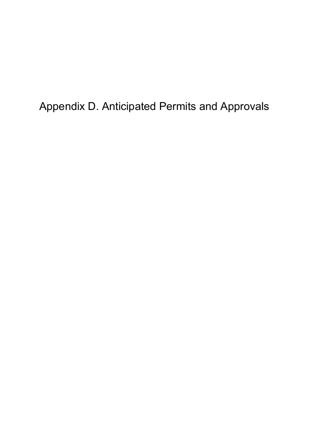Appendix D. Anticipated Permits and Approvals